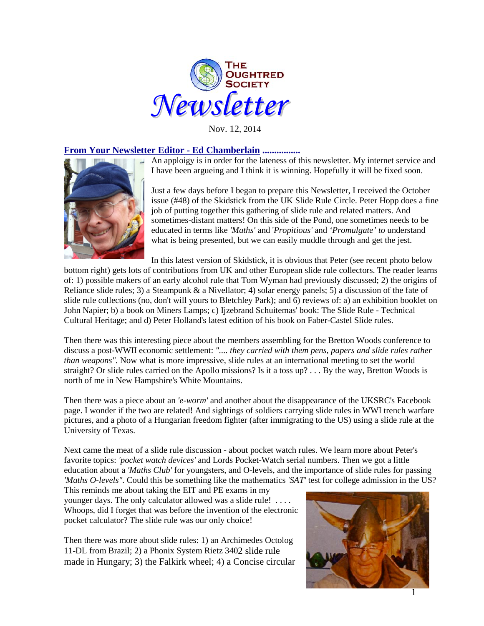

Nov. 12, 2014

# **From Your Newsletter Editor - Ed Chamberlain ................**

An apploigy is in order for the lateness of this newsletter. My internet service and I have been argueing and I think it is winning. Hopefully it will be fixed soon.



Just a few days before I began to prepare this Newsletter, I received the October issue (#48) of the Skidstick from the UK Slide Rule Circle. Peter Hopp does a fine job of putting together this gathering of slide rule and related matters. And sometimes-distant matters! On this side of the Pond, one sometimes needs to be educated in terms like *'Maths'* and '*Propitious'* and *'Promulgate' to* understand what is being presented, but we can easily muddle through and get the jest.

In this latest version of Skidstick, it is obvious that Peter (see recent photo below bottom right) gets lots of contributions from UK and other European slide rule collectors. The reader learns of: 1) possible makers of an early alcohol rule that Tom Wyman had previously discussed; 2) the origins of Reliance slide rules; 3) a Steampunk & a Nivellator; 4) solar energy panels; 5) a discussion of the fate of slide rule collections (no, don't will yours to Bletchley Park); and 6) reviews of: a) an exhibition booklet on John Napier; b) a book on Miners Lamps; c) Ijzebrand Schuitemas' book: The Slide Rule - Technical Cultural Heritage; and d) Peter Holland's latest edition of his book on Faber-Castel Slide rules.

Then there was this interesting piece about the members assembling for the Bretton Woods conference to discuss a post-WWII economic settlement: *".... they carried with them pens, papers and slide rules rather than weapons".* Now what is more impressive, slide rules at an international meeting to set the world straight? Or slide rules carried on the Apollo missions? Is it a toss up? . . . By the way, Bretton Woods is north of me in New Hampshire's White Mountains.

Then there was a piece about an *'e-worm'* and another about the disappearance of the UKSRC's Facebook page. I wonder if the two are related! And sightings of soldiers carrying slide rules in WWI trench warfare pictures, and a photo of a Hungarian freedom fighter (after immigrating to the US) using a slide rule at the University of Texas.

Next came the meat of a slide rule discussion - about pocket watch rules. We learn more about Peter's favorite topics: *'pocket watch devices'* and Lords Pocket-Watch serial numbers. Then we got a little education about a *'Maths Club'* for youngsters, and O-levels, and the importance of slide rules for passing *'Maths O-levels".* Could this be something like the mathematics *'SAT'* test for college admission in the US?

This reminds me about taking the EIT and PE exams in my younger days. The only calculator allowed was a slide rule! . . . . Whoops, did I forget that was before the invention of the electronic pocket calculator? The slide rule was our only choice!

Then there was more about slide rules: 1) an Archimedes Octolog 11-DL from Brazil; 2) a Phonix System Rietz 3402 slide rule made in Hungary; 3) the Falkirk wheel; 4) a Concise circular

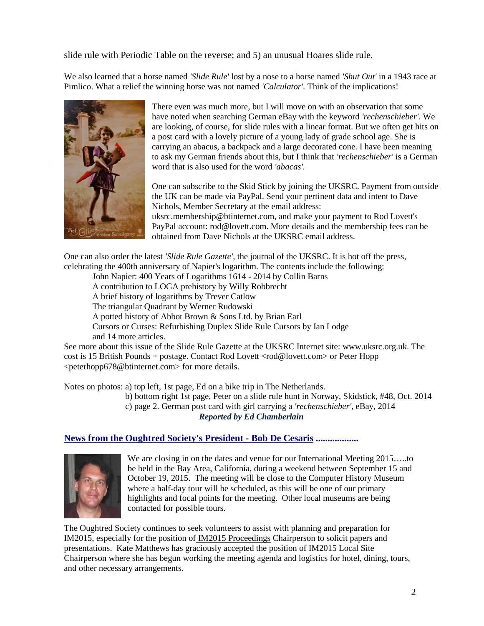slide rule with Periodic Table on the reverse; and 5) an unusual Hoares slide rule.

We also learned that a horse named *'Slide Rule'* lost by a nose to a horse named *'Shut Out'* in a 1943 race at Pimlico. What a relief the winning horse was not named *'Calculator'.* Think of the implications!



There even was much more, but I will move on with an observation that some have noted when searching German eBay with the keyword *'rechenschieber'*. We are looking, of course, for slide rules with a linear format. But we often get hits on a post card with a lovely picture of a young lady of grade school age. She is carrying an abacus, a backpack and a large decorated cone. I have been meaning to ask my German friends about this, but I think that *'rechenschieber'* is a German word that is also used for the word *'abacas'.*

One can subscribe to the Skid Stick by joining the UKSRC. Payment from outside the UK can be made via PayPal. Send your pertinent data and intent to Dave Nichols, Member Secretary at the email address: uksrc.membership@btinternet.com, and make your payment to Rod Lovett's PayPal account: rod@lovett.com. More details and the membership fees can be obtained from Dave Nichols at the UKSRC email address.

One can also order the latest *'Slide Rule Gazette'*, the journal of the UKSRC. It is hot off the press, celebrating the 400th anniversary of Napier's logarithm. The contents include the following:

John Napier: 400 Years of Logarithms 1614 - 2014 by Collin Barns

A contribution to LOGA prehistory by Willy Robbrecht

A brief history of logarithms by Trever Catlow

The triangular Quadrant by Werner Rudowski

A potted history of Abbot Brown & Sons Ltd. by Brian Earl

Cursors or Curses: Refurbishing Duplex Slide Rule Cursors by Ian Lodge and 14 more articles.

See more about this issue of the Slide Rule Gazette at the UKSRC Internet site: www.uksrc.org.uk. The cost is 15 British Pounds + postage. Contact Rod Lovett <rod@lovett.com> or Peter Hopp <peterhopp678@btinternet.com> for more details.

Notes on photos: a) top left, 1st page, Ed on a bike trip in The Netherlands.

b) bottom right 1st page, Peter on a slide rule hunt in Norway, Skidstick, #48, Oct. 2014

c) page 2. German post card with girl carrying a *'rechenschieber',* eBay, 2014

*Reported by Ed Chamberlain*

# **News from the Oughtred Society's President - Bob De Cesaris ..................**



We are closing in on the dates and venue for our International Meeting 2015…..to be held in the Bay Area, California, during a weekend between September 15 and October 19, 2015. The meeting will be close to the Computer History Museum where a half-day tour will be scheduled, as this will be one of our primary highlights and focal points for the meeting. Other local museums are being contacted for possible tours.

The Oughtred Society continues to seek volunteers to assist with planning and preparation for IM2015, especially for the position of IM2015 Proceedings Chairperson to solicit papers and presentations. Kate Matthews has graciously accepted the position of IM2015 Local Site Chairperson where she has begun working the meeting agenda and logistics for hotel, dining, tours, and other necessary arrangements.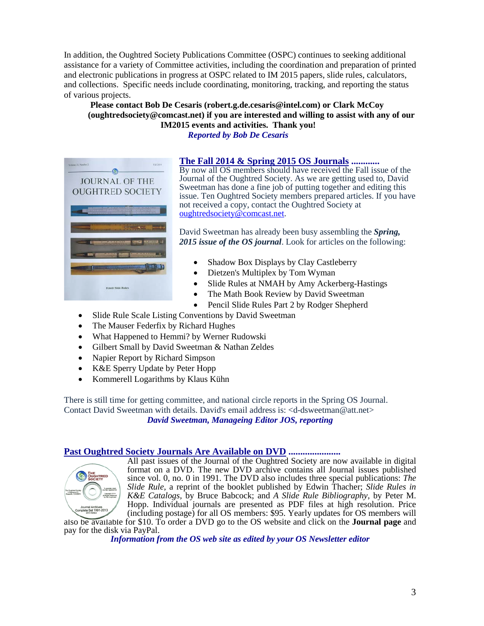In addition, the Oughtred Society Publications Committee (OSPC) continues to seeking additional assistance for a variety of Committee activities, including the coordination and preparation of printed and electronic publications in progress at OSPC related to IM 2015 papers, slide rules, calculators, and collections. Specific needs include coordinating, monitoring, tracking, and reporting the status of various projects.

## **Please contact Bob De Cesaris (robert.g.de.cesaris@intel.com) or Clark McCoy (oughtredsociety@comcast.net) if you are interested and willing to assist with any of our IM2015 events and activities. Thank you!** *Reported by Bob De Cesaris*



**The Fall 2014 & Spring 2015 OS Journals ............** By now all OS members should have received the Fall issue of the Journal of the Oughtred Society. As we are getting used to, David Sweetman has done a fine job of putting together and editing this issue. Ten Oughtred Society members prepared articles. If you have not received a copy, contact the Oughtred Society at [oughtredsociety@comcast.net.](mailto:oughtredsociety@comcast.net)

David Sweetman has already been busy assembling the *Spring, 2015 issue of the OS journal*. Look for articles on the following:

- Shadow Box Displays by Clay Castleberry
- Dietzen's Multiplex by Tom Wyman
- Slide Rules at NMAH by Amy Ackerberg-Hastings
- The Math Book Review by David Sweetman
- Pencil Slide Rules Part 2 by Rodger Shepherd
- Slide Rule Scale Listing Conventions by David Sweetman
- The Mauser Federfix by Richard Hughes
- What Happened to Hemmi? by Werner Rudowski
- Gilbert Small by David Sweetman & Nathan Zeldes
- Napier Report by Richard Simpson
- K&E Sperry Update by Peter Hopp
- Kommerell Logarithms by Klaus Kühn

There is still time for getting committee, and national circle reports in the Spring OS Journal. Contact David Sweetman with details. David's email address is: <d-dsweetman@att.net>

*David Sweetman, Manageing Editor JOS, reporting*

#### **Past Oughtred Society Journals Are Available on DVD ......................**



All past issues of the Journal of the Oughtred Society are now available in digital format on a DVD. The new DVD archive contains all Journal issues published since vol. 0, no. 0 in 1991. The DVD also includes three special publications: *The Slide Rule,* a reprint of the booklet published by Edwin Thacher; *Slide Rules in K&E Catalogs,* by Bruce Babcock; and *A Slide Rule Bibliography*, by Peter M. Hopp. Individual journals are presented as PDF files at high resolution. Price (including postage) for all OS members: \$95. Yearly updates for OS members will

also be available for \$10. To order a DVD go to the OS website and click on the **[Journal page](http://www.oughtred.org/journal.shtml%23dvd)** and pay for the disk via PayPal.

*Information from the OS web site as edited by your OS Newsletter editor*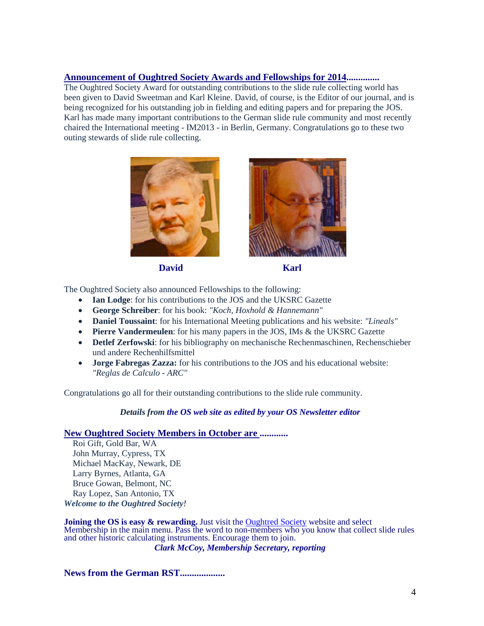## **Announcement of Oughtred Society Awards and Fellowships for 2014..............**

The Oughtred Society Award for outstanding contributions to the slide rule collecting world has been given to David Sweetman and Karl Kleine. David, of course, is the Editor of our journal, and is being recognized for his outstanding job in fielding and editing papers and for preparing the JOS. Karl has made many important contributions to the German slide rule community and most recently chaired the International meeting - IM2013 - in Berlin, Germany. Congratulations go to these two outing stewards of slide rule collecting.



**David** Karl





The Oughtred Society also announced Fellowships to the following:

- **Ian Lodge**: for his contributions to the JOS and the UKSRC Gazette
- **George Schreiber**: for his book: *"Koch, Hoxhold & Hannemann"*
- **Daniel Toussaint**: for his International Meeting publications and his website: *"Lineals"*
- **Pierre Vandermeulen**: for his many papers in the JOS, IMs & the UKSRC Gazette
- **Detlef Zerfowski**: for his bibliography on mechanische Rechenmaschinen, Rechenschieber und andere Rechenhilfsmittel
- **Jorge Fabregas Zazza:** for his contributions to the JOS and his educational website: *"Reglas de Calculo - ARC"*

Congratulations go all for their outstanding contributions to the slide rule community.

#### *Details from the OS web site as edited by your OS Newsletter editor*

# **New Oughtred Society Members in October are ............**

Roi Gift, Gold Bar, WA John Murray, Cypress, TX Michael MacKay, Newark, DE Larry Byrnes, Atlanta, GA Bruce Gowan, Belmont, NC Ray Lopez, San Antonio, TX *Welcome to the Oughtred Society!* 

**Joining the OS is easy & rewarding.** Just visit the **[Oughtred Society](http://www.oughtred.org/)** website and select Membership in the main menu. Pass the word to non-members who you know that collect slide rules and other historic calculating instruments. Encourage them to join.

*Clark McCoy, Membership Secretary, reporting*

**News from the German RST...................**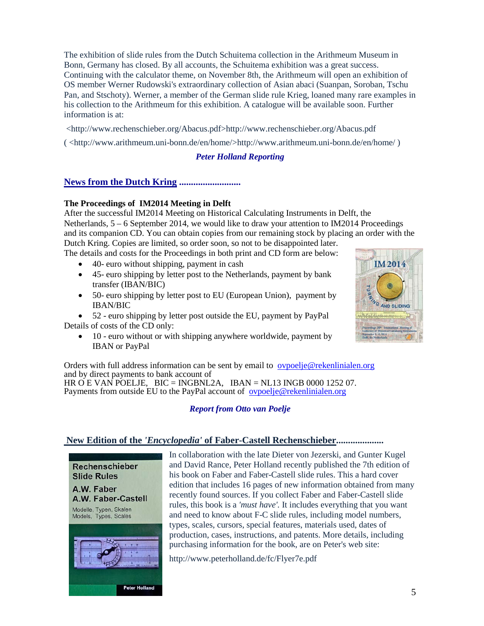The exhibition of slide rules from the Dutch Schuitema collection in the Arithmeum Museum in Bonn, Germany has closed. By all accounts, the Schuitema exhibition was a great success. Continuing with the calculator theme, on November 8th, the Arithmeum will open an exhibition of OS member Werner Rudowski's extraordinary collection of Asian abaci (Suanpan, Soroban, Tschu Pan, and Stschoty). Werner, a member of the German slide rule Krieg, loaned many rare examples in his collection to the Arithmeum for this exhibition. A catalogue will be available soon. Further information is at:

<http://www.rechenschieber.org/Abacus.pdf>http://www.rechenschieber.org/Abacus.pdf

( <http://www.arithmeum.uni-bonn.de/en/home/>http://www.arithmeum.uni-bonn.de/en/home/ )

## *Peter Holland Reporting*

## **News from the Dutch Kring ..........................**

## **The Proceedings of IM2014 Meeting in Delft**

After the successful IM2014 Meeting on Historical Calculating Instruments in Delft, the Netherlands, 5 – 6 September 2014, we would like to draw your attention to IM2014 Proceedings and its companion CD. You can obtain copies from our remaining stock by placing an order with the Dutch Kring. Copies are limited, so order soon, so not to be disappointed later.

The details and costs for the Proceedings in both print and CD form are below:

- 40- euro without shipping, payment in cash
- 45- euro shipping by letter post to the Netherlands, payment by bank transfer (IBAN/BIC)
- 50- euro shipping by letter post to EU (European Union), payment by IBAN/BIC

• 52 - euro shipping by letter post outside the EU, payment by PayPal Details of costs of the CD only:

• 10 - euro without or with shipping anywhere worldwide, payment by IBAN or PayPal

Orders with full address information can be sent by email to [ovpoelje@rekenlinialen.org](mailto:ovpoelje@rekenlinialen.org) and by direct payments to bank account of HR O E VAN POELJE, BIC = INGBNL2A, IBAN = NL13 INGB 0000 1252 07. Payments from outside EU to the PayPal account of <u>[ovpoelje@rekenlinialen.org](mailto:ovpoelje@rekenlinialen.org)</u>

# *Report from Otto van Poelje*

# **New Edition of the** *'Encyclopedia'* **of Faber-Castell Rechenschieber....................**



In collaboration with the late Dieter von Jezerski, and Gunter Kugel and David Rance, Peter Holland recently published the 7th edition of his book on Faber and Faber-Castell slide rules. This a hard cover edition that includes 16 pages of new information obtained from many recently found sources. If you collect Faber and Faber-Castell slide rules, this book is a *'must have'.* It includes everything that you want and need to know about F-C slide rules, including model numbers, types, scales, cursors, special features, materials used, dates of production, cases, instructions, and patents. More details, including purchasing information for the book, are on Peter's web site:

http://www.peterholland.de/fc/Flyer7e.pdf

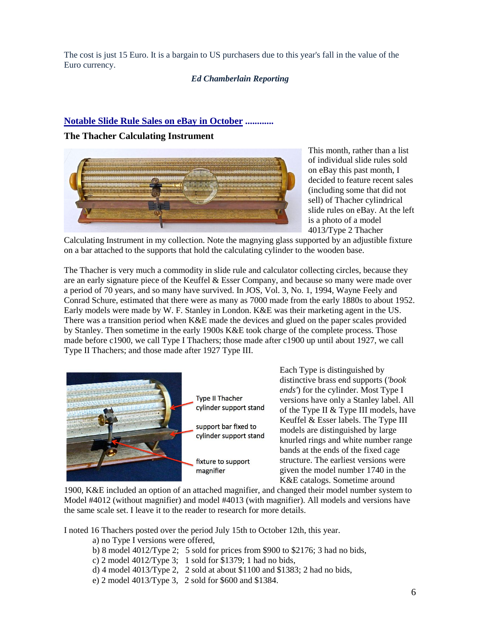The cost is just 15 Euro. It is a bargain to US purchasers due to this year's fall in the value of the Euro currency.

## *Ed Chamberlain Reporting*

## **Notable Slide Rule Sales on eBay in October ............**

### **The Thacher Calculating Instrument**



This month, rather than a list of individual slide rules sold on eBay this past month, I decided to feature recent sales (including some that did not sell) of Thacher cylindrical slide rules on eBay. At the left is a photo of a model 4013/Type 2 Thacher

Calculating Instrument in my collection. Note the magnying glass supported by an adjustible fixture on a bar attached to the supports that hold the calculating cylinder to the wooden base.

The Thacher is very much a commodity in slide rule and calculator collecting circles, because they are an early signature piece of the Keuffel & Esser Company, and because so many were made over a period of 70 years, and so many have survived. In JOS, Vol. 3, No. 1, 1994, Wayne Feely and Conrad Schure, estimated that there were as many as 7000 made from the early 1880s to about 1952. Early models were made by W. F. Stanley in London. K&E was their marketing agent in the US. There was a transition period when K&E made the devices and glued on the paper scales provided by Stanley. Then sometime in the early 1900s K&E took charge of the complete process. Those made before c1900, we call Type I Thachers; those made after c1900 up until about 1927, we call Type II Thachers; and those made after 1927 Type III.



**Type II Thacher** cylinder support stand support bar fixed to cylinder support stand fixture to support magnifier

Each Type is distinguished by distinctive brass end supports (*'book ends'*) for the cylinder. Most Type I versions have only a Stanley label. All of the Type II & Type III models, have Keuffel & Esser labels. The Type III models are distinguished by large knurled rings and white number range bands at the ends of the fixed cage structure. The earliest versions were given the model number 1740 in the K&E catalogs. Sometime around

1900, K&E included an option of an attached magnifier, and changed their model number system to Model #4012 (without magnifier) and model #4013 (with magnifier). All models and versions have the same scale set. I leave it to the reader to research for more details.

I noted 16 Thachers posted over the period July 15th to October 12th, this year.

- a) no Type I versions were offered,
- b) 8 model 4012/Type 2; 5 sold for prices from \$900 to \$2176; 3 had no bids,
- c) 2 model 4012/Type 3; 1 sold for \$1379; 1 had no bids,
- d) 4 model 4013/Type 2, 2 sold at about \$1100 and \$1383; 2 had no bids,
- e) 2 model 4013/Type 3, 2 sold for \$600 and \$1384.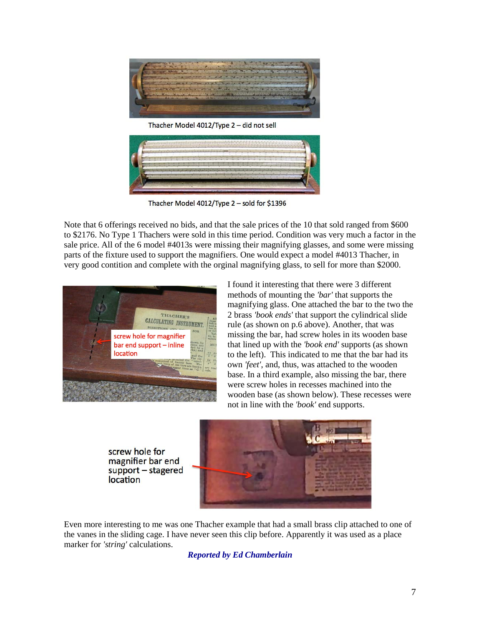

Thacher Model 4012/Type 2 - did not sell



Thacher Model 4012/Type 2 - sold for \$1396

Note that 6 offerings received no bids, and that the sale prices of the 10 that sold ranged from \$600 to \$2176. No Type 1 Thachers were sold in this time period. Condition was very much a factor in the sale price. All of the 6 model #4013s were missing their magnifying glasses, and some were missing parts of the fixture used to support the magnifiers. One would expect a model #4013 Thacher, in very good contition and complete with the orginal magnifying glass, to sell for more than \$2000.



I found it interesting that there were 3 different methods of mounting the *'bar'* that supports the magnifying glass. One attached the bar to the two the 2 brass *'book ends'* that support the cylindrical slide rule (as shown on p.6 above). Another, that was missing the bar, had screw holes in its wooden base that lined up with the *'book end'* supports (as shown to the left). This indicated to me that the bar had its own *'feet'*, and, thus, was attached to the wooden base. In a third example, also missing the bar, there were screw holes in recesses machined into the wooden base (as shown below). These recesses were not in line with the *'book'* end supports.

screw hole for magnifier bar end support - stagered location



Even more interesting to me was one Thacher example that had a small brass clip attached to one of the vanes in the sliding cage. I have never seen this clip before. Apparently it was used as a place marker for *'string'* calculations.

*Reported by Ed Chamberlain*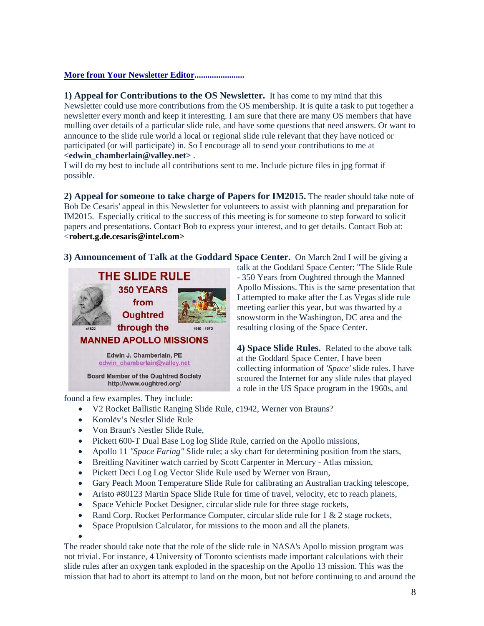## **More from Your Newsletter Editor.......................**

**1) Appeal for Contributions to the OS Newsletter.** It has come to my mind that this Newsletter could use more contributions from the OS membership. It is quite a task to put together a newsletter every month and keep it interesting. I am sure that there are many OS members that have mulling over details of a particular slide rule, and have some questions that need answers. Or want to announce to the slide rule world a local or regional slide rule relevant that they have noticed or participated (or will participate) in. So I encourage all to send your contributions to me at **<edwin\_chamberlain@valley.net>** .

I will do my best to include all contributions sent to me. Include picture files in jpg format if possible.

**2) Appeal for someone to take charge of Papers for IM2015.** The reader should take note of Bob De Cesaris' appeal in this Newsletter for volunteers to assist with planning and preparation for IM2015. Especially critical to the success of this meeting is for someone to step forward to solicit papers and presentations. Contact Bob to express your interest, and to get details. Contact Bob at: <**robert.g.de.cesaris@intel.com>**

**3) Announcement of Talk at the Goddard Space Center.** On March 2nd I will be giving a

talk at the Goddard Space Center: "The Slide Rule - 350 Years from Oughtred through the Manned Apollo Missions. This is the same presentation that I attempted to make after the Las Vegas slide rule meeting earlier this year, but was thwarted by a snowstorm in the Washington, DC area and the

**4) Space Slide Rules.** Related to the above talk

collecting information of *'Space'* slide rules. I have scoured the Internet for any slide rules that played a role in the US Space program in the 1960s, and

resulting closing of the Space Center.

at the Goddard Space Center, I have been



found a few examples. They include:

- V2 Rocket Ballistic Ranging Slide Rule, c1942, Werner von Brauns?
- Korolëv's Nestler Slide Rule
- Von Braun's Nestler Slide Rule,
- Pickett 600-T Dual Base Log log Slide Rule, carried on the Apollo missions,
- Apollo 11 *"Space Faring"* Slide rule; a sky chart for determining position from the stars,
- Breitling Navitiner watch carried by Scott Carpenter in Mercury Atlas mission,
- Pickett Deci Log Log Vector Slide Rule used by Werner von Braun,
- Gary Peach Moon Temperature Slide Rule for calibrating an Australian tracking telescope,
- Aristo #80123 Martin Space Slide Rule for time of travel, velocity, etc to reach planets,
- Space Vehicle Pocket Designer, circular slide rule for three stage rockets,
- Rand Corp. Rocket Performance Computer, circular slide rule for  $1 \& 2$  stage rockets,
- Space Propulsion Calculator, for missions to the moon and all the planets.

•

The reader should take note that the role of the slide rule in NASA's Apollo mission program was not trivial. For instance, 4 University of Toronto scientists made important calculations with their slide rules after an oxygen tank exploded in the spaceship on the Apollo 13 mission. This was the mission that had to abort its attempt to land on the moon, but not before continuing to and around the